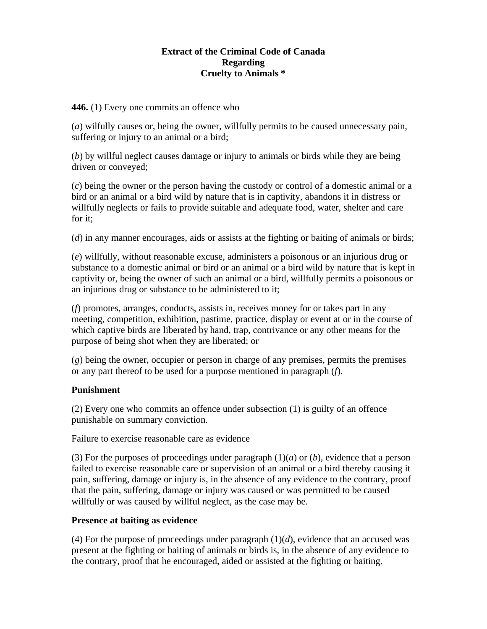#### **Extract of the Criminal Code of Canada Regarding Cruelty to Animals \***

**446.** (1) Every one commits an offence who

(*a*) wilfully causes or, being the owner, willfully permits to be caused unnecessary pain, suffering or injury to an animal or a bird;

(*b*) by willful neglect causes damage or injury to animals or birds while they are being driven or conveyed;

(*c*) being the owner or the person having the custody or control of a domestic animal or a bird or an animal or a bird wild by nature that is in captivity, abandons it in distress or willfully neglects or fails to provide suitable and adequate food, water, shelter and care for it;

(*d*) in any manner encourages, aids or assists at the fighting or baiting of animals or birds;

(*e*) willfully, without reasonable excuse, administers a poisonous or an injurious drug or substance to a domestic animal or bird or an animal or a bird wild by nature that is kept in captivity or, being the owner of such an animal or a bird, willfully permits a poisonous or an injurious drug or substance to be administered to it;

(*f*) promotes, arranges, conducts, assists in, receives money for or takes part in any meeting, competition, exhibition, pastime, practice, display or event at or in the course of which captive birds are liberated by hand, trap, contrivance or any other means for the purpose of being shot when they are liberated; or

(*g*) being the owner, occupier or person in charge of any premises, permits the premises or any part thereof to be used for a purpose mentioned in paragraph (*f*).

# **Punishment**

(2) Every one who commits an offence under subsection (1) is guilty of an offence punishable on summary conviction.

Failure to exercise reasonable care as evidence

(3) For the purposes of proceedings under paragraph  $(1)(a)$  or  $(b)$ , evidence that a person failed to exercise reasonable care or supervision of an animal or a bird thereby causing it pain, suffering, damage or injury is, in the absence of any evidence to the contrary, proof that the pain, suffering, damage or injury was caused or was permitted to be caused willfully or was caused by willful neglect, as the case may be.

# **Presence at baiting as evidence**

(4) For the purpose of proceedings under paragraph  $(1)(d)$ , evidence that an accused was present at the fighting or baiting of animals or birds is, in the absence of any evidence to the contrary, proof that he encouraged, aided or assisted at the fighting or baiting.